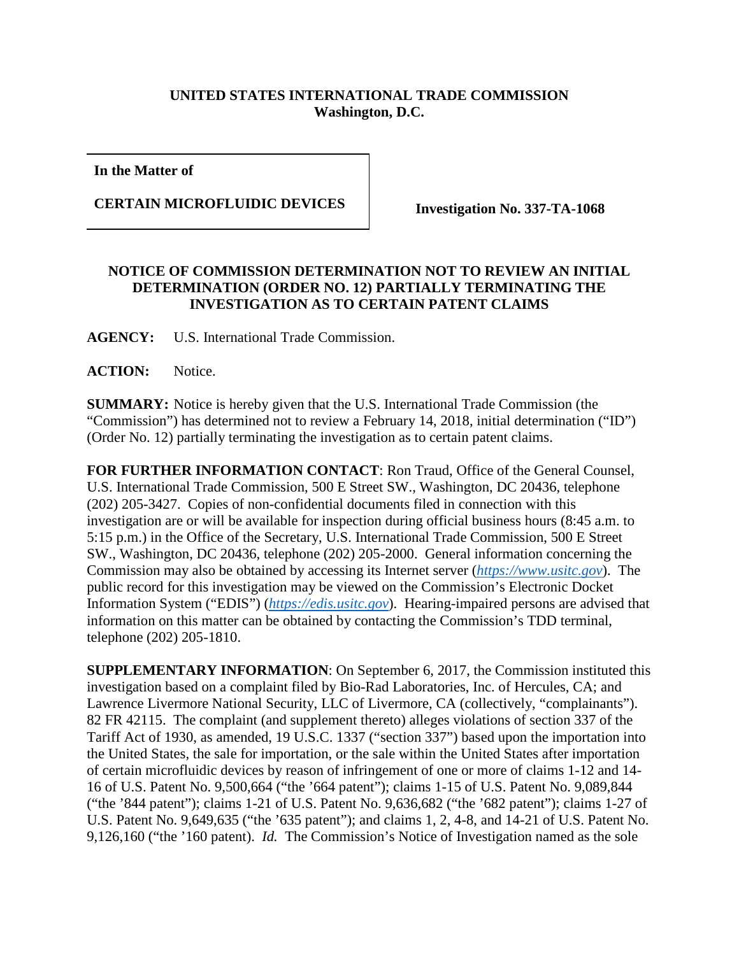## **UNITED STATES INTERNATIONAL TRADE COMMISSION Washington, D.C.**

**In the Matter of**

**CERTAIN MICROFLUIDIC DEVICES Investigation No. 337-TA-1068**

## **NOTICE OF COMMISSION DETERMINATION NOT TO REVIEW AN INITIAL DETERMINATION (ORDER NO. 12) PARTIALLY TERMINATING THE INVESTIGATION AS TO CERTAIN PATENT CLAIMS**

**AGENCY:** U.S. International Trade Commission.

**ACTION:** Notice.

**SUMMARY:** Notice is hereby given that the U.S. International Trade Commission (the "Commission") has determined not to review a February 14, 2018, initial determination ("ID") (Order No. 12) partially terminating the investigation as to certain patent claims.

**FOR FURTHER INFORMATION CONTACT**: Ron Traud, Office of the General Counsel, U.S. International Trade Commission, 500 E Street SW., Washington, DC 20436, telephone (202) 205-3427. Copies of non-confidential documents filed in connection with this investigation are or will be available for inspection during official business hours (8:45 a.m. to 5:15 p.m.) in the Office of the Secretary, U.S. International Trade Commission, 500 E Street SW., Washington, DC 20436, telephone (202) 205-2000. General information concerning the Commission may also be obtained by accessing its Internet server (*[https://www.usitc.gov](https://www.usitc.gov/)*). The public record for this investigation may be viewed on the Commission's Electronic Docket Information System ("EDIS") (*[https://edis.usitc.gov](https://edis.usitc.gov/)*). Hearing-impaired persons are advised that information on this matter can be obtained by contacting the Commission's TDD terminal, telephone (202) 205-1810.

**SUPPLEMENTARY INFORMATION**: On September 6, 2017, the Commission instituted this investigation based on a complaint filed by Bio-Rad Laboratories, Inc. of Hercules, CA; and Lawrence Livermore National Security, LLC of Livermore, CA (collectively, "complainants"). 82 FR 42115. The complaint (and supplement thereto) alleges violations of section 337 of the Tariff Act of 1930, as amended, 19 U.S.C. 1337 ("section 337") based upon the importation into the United States, the sale for importation, or the sale within the United States after importation of certain microfluidic devices by reason of infringement of one or more of claims 1-12 and 14- 16 of U.S. Patent No. 9,500,664 ("the '664 patent"); claims 1-15 of U.S. Patent No. 9,089,844 ("the '844 patent"); claims 1-21 of U.S. Patent No. 9,636,682 ("the '682 patent"); claims 1-27 of U.S. Patent No. 9,649,635 ("the '635 patent"); and claims 1, 2, 4-8, and 14-21 of U.S. Patent No. 9,126,160 ("the '160 patent). *Id.* The Commission's Notice of Investigation named as the sole